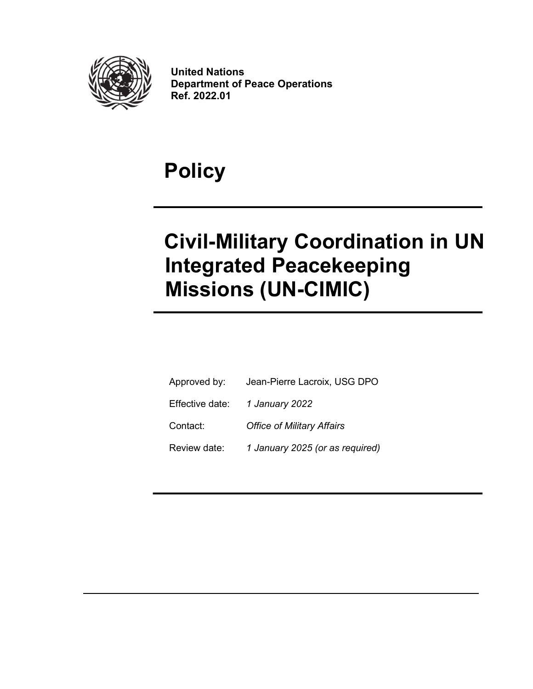

United Nations Department of Peace Operations Ref. 2022.01

# Policy

# Civil-Military Coordination in UN Integrated Peacekeeping Missions (UN-CIMIC)

| Approved by:    | Jean-Pierre Lacroix, USG DPO      |
|-----------------|-----------------------------------|
| Effective date: | 1 January 2022                    |
| Contact:        | <b>Office of Military Affairs</b> |
| Review date:    | 1 January 2025 (or as required)   |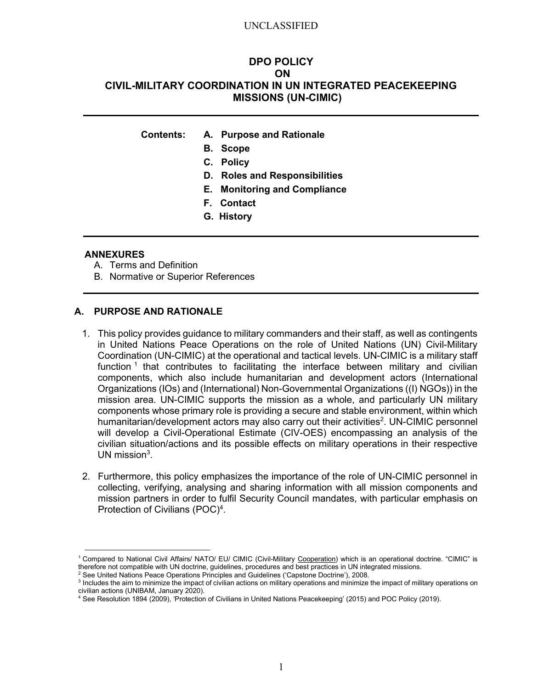# DPO POLICY ON CIVIL-MILITARY COORDINATION IN UN INTEGRATED PEACEKEEPING MISSIONS (UN-CIMIC)

- Contents: A. Purpose and Rationale
	- B. Scope
	- C. Policy
	- D. Roles and Responsibilities
	- E. Monitoring and Compliance
	- F. Contact
	- G. History

#### ANNEXURES

- A. Terms and Definition
- B. Normative or Superior References

#### A. PURPOSE AND RATIONALE

- 1. This policy provides guidance to military commanders and their staff, as well as contingents in United Nations Peace Operations on the role of United Nations (UN) Civil-Military Coordination (UN-CIMIC) at the operational and tactical levels. UN-CIMIC is a military staff function  $1$  that contributes to facilitating the interface between military and civilian components, which also include humanitarian and development actors (International Organizations (IOs) and (International) Non-Governmental Organizations ((I) NGOs)) in the mission area. UN-CIMIC supports the mission as a whole, and particularly UN military components whose primary role is providing a secure and stable environment, within which humanitarian/development actors may also carry out their activities<sup>2</sup>. UN-CIMIC personnel will develop a Civil-Operational Estimate (CIV-OES) encompassing an analysis of the civilian situation/actions and its possible effects on military operations in their respective UN mission $3$ .
- 2. Furthermore, this policy emphasizes the importance of the role of UN-CIMIC personnel in collecting, verifying, analysing and sharing information with all mission components and mission partners in order to fulfil Security Council mandates, with particular emphasis on Protection of Civilians (POC)<sup>4</sup>.

<sup>&</sup>lt;sup>1</sup> Compared to National Civil Affairs/ NATO/ EU/ CIMIC (Civil-Military Cooperation) which is an operational doctrine. "CIMIC" is therefore not compatible with UN doctrine, guidelines, procedures and best practices in UN integrated missions.

<sup>2</sup> See United Nations Peace Operations Principles and Guidelines ('Capstone Doctrine'), 2008.

<sup>&</sup>lt;sup>3</sup> Includes the aim to minimize the impact of civilian actions on military operations and minimize the impact of military operations on civilian actions (UNIBAM, January 2020).

<sup>4</sup> See Resolution 1894 (2009), 'Protection of Civilians in United Nations Peacekeeping' (2015) and POC Policy (2019).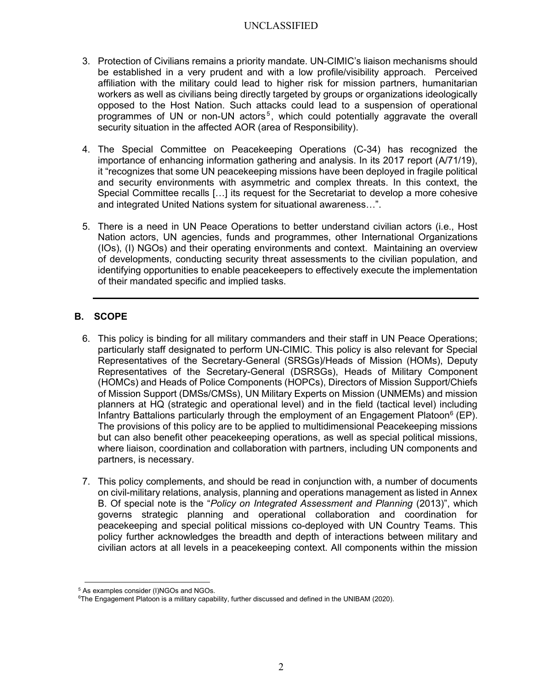- 3. Protection of Civilians remains a priority mandate. UN-CIMIC's liaison mechanisms should be established in a very prudent and with a low profile/visibility approach. Perceived affiliation with the military could lead to higher risk for mission partners, humanitarian workers as well as civilians being directly targeted by groups or organizations ideologically opposed to the Host Nation. Such attacks could lead to a suspension of operational programmes of UN or non-UN actors<sup>5</sup>, which could potentially aggravate the overall security situation in the affected AOR (area of Responsibility).
- 4. The Special Committee on Peacekeeping Operations (C-34) has recognized the importance of enhancing information gathering and analysis. In its 2017 report (A/71/19), it "recognizes that some UN peacekeeping missions have been deployed in fragile political and security environments with asymmetric and complex threats. In this context, the Special Committee recalls […] its request for the Secretariat to develop a more cohesive and integrated United Nations system for situational awareness…".
- 5. There is a need in UN Peace Operations to better understand civilian actors (i.e., Host Nation actors, UN agencies, funds and programmes, other International Organizations (IOs), (I) NGOs) and their operating environments and context. Maintaining an overview of developments, conducting security threat assessments to the civilian population, and identifying opportunities to enable peacekeepers to effectively execute the implementation of their mandated specific and implied tasks.

# B. SCOPE

- 6. This policy is binding for all military commanders and their staff in UN Peace Operations; particularly staff designated to perform UN-CIMIC. This policy is also relevant for Special Representatives of the Secretary-General (SRSGs)/Heads of Mission (HOMs), Deputy Representatives of the Secretary-General (DSRSGs), Heads of Military Component (HOMCs) and Heads of Police Components (HOPCs), Directors of Mission Support/Chiefs of Mission Support (DMSs/CMSs), UN Military Experts on Mission (UNMEMs) and mission planners at HQ (strategic and operational level) and in the field (tactical level) including Infantry Battalions particularly through the employment of an Engagement Platoon<sup>6</sup> (EP). The provisions of this policy are to be applied to multidimensional Peacekeeping missions but can also benefit other peacekeeping operations, as well as special political missions, where liaison, coordination and collaboration with partners, including UN components and partners, is necessary.
- 7. This policy complements, and should be read in conjunction with, a number of documents on civil-military relations, analysis, planning and operations management as listed in Annex B. Of special note is the "Policy on Integrated Assessment and Planning (2013)", which governs strategic planning and operational collaboration and coordination for peacekeeping and special political missions co-deployed with UN Country Teams. This policy further acknowledges the breadth and depth of interactions between military and civilian actors at all levels in a peacekeeping context. All components within the mission

<sup>5</sup> As examples consider (I)NGOs and NGOs.

<sup>&</sup>lt;sup>6</sup>The Engagement Platoon is a military capability, further discussed and defined in the UNIBAM (2020).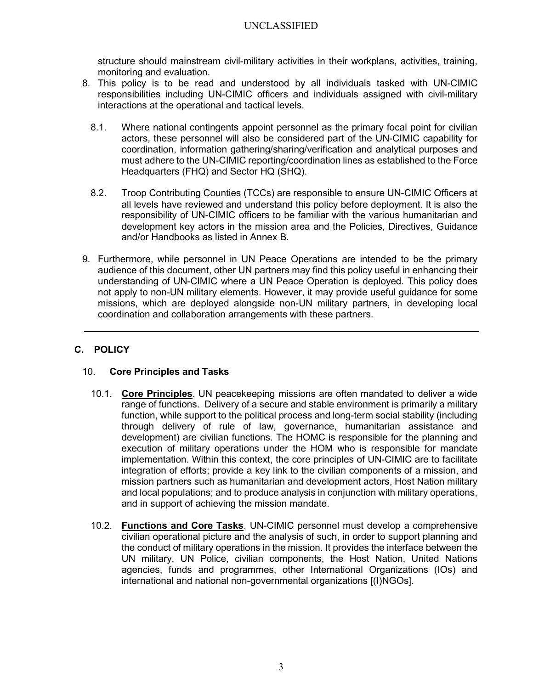structure should mainstream civil-military activities in their workplans, activities, training, monitoring and evaluation.

- 8. This policy is to be read and understood by all individuals tasked with UN-CIMIC responsibilities including UN-CIMIC officers and individuals assigned with civil-military interactions at the operational and tactical levels.
	- 8.1. Where national contingents appoint personnel as the primary focal point for civilian actors, these personnel will also be considered part of the UN-CIMIC capability for coordination, information gathering/sharing/verification and analytical purposes and must adhere to the UN-CIMIC reporting/coordination lines as established to the Force Headquarters (FHQ) and Sector HQ (SHQ).
	- 8.2. Troop Contributing Counties (TCCs) are responsible to ensure UN-CIMIC Officers at all levels have reviewed and understand this policy before deployment. It is also the responsibility of UN-CIMIC officers to be familiar with the various humanitarian and development key actors in the mission area and the Policies, Directives, Guidance and/or Handbooks as listed in Annex B.
- 9. Furthermore, while personnel in UN Peace Operations are intended to be the primary audience of this document, other UN partners may find this policy useful in enhancing their understanding of UN-CIMIC where a UN Peace Operation is deployed. This policy does not apply to non-UN military elements. However, it may provide useful guidance for some missions, which are deployed alongside non-UN military partners, in developing local coordination and collaboration arrangements with these partners.

# C. POLICY

# 10. Core Principles and Tasks

- 10.1. Core Principles. UN peacekeeping missions are often mandated to deliver a wide range of functions. Delivery of a secure and stable environment is primarily a military function, while support to the political process and long-term social stability (including through delivery of rule of law, governance, humanitarian assistance and development) are civilian functions. The HOMC is responsible for the planning and execution of military operations under the HOM who is responsible for mandate implementation. Within this context, the core principles of UN-CIMIC are to facilitate integration of efforts; provide a key link to the civilian components of a mission, and mission partners such as humanitarian and development actors, Host Nation military and local populations; and to produce analysis in conjunction with military operations, and in support of achieving the mission mandate.
- 10.2. Functions and Core Tasks. UN-CIMIC personnel must develop a comprehensive civilian operational picture and the analysis of such, in order to support planning and the conduct of military operations in the mission. It provides the interface between the UN military, UN Police, civilian components, the Host Nation, United Nations agencies, funds and programmes, other International Organizations (IOs) and international and national non-governmental organizations [(I)NGOs].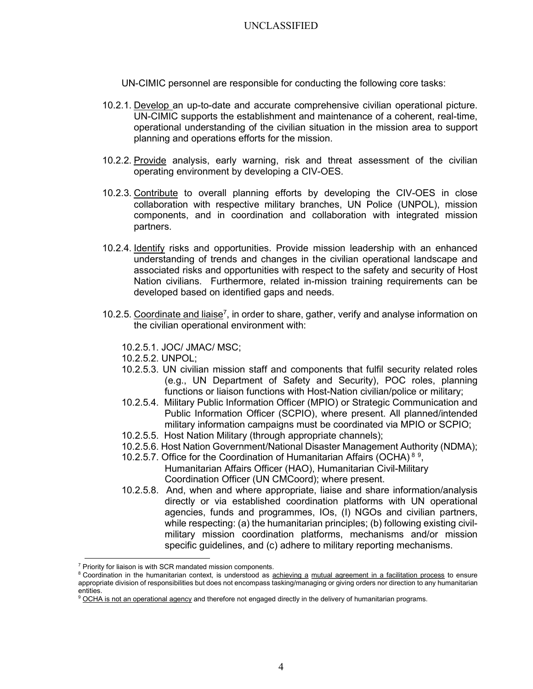UN-CIMIC personnel are responsible for conducting the following core tasks:

- 10.2.1. Develop an up-to-date and accurate comprehensive civilian operational picture. UN-CIMIC supports the establishment and maintenance of a coherent, real-time, operational understanding of the civilian situation in the mission area to support planning and operations efforts for the mission.
- 10.2.2. Provide analysis, early warning, risk and threat assessment of the civilian operating environment by developing a CIV-OES.
- 10.2.3. Contribute to overall planning efforts by developing the CIV-OES in close collaboration with respective military branches, UN Police (UNPOL), mission components, and in coordination and collaboration with integrated mission partners.
- 10.2.4. Identify risks and opportunities. Provide mission leadership with an enhanced understanding of trends and changes in the civilian operational landscape and associated risks and opportunities with respect to the safety and security of Host Nation civilians. Furthermore, related in-mission training requirements can be developed based on identified gaps and needs.
- 10.2.5. Coordinate and liaise<sup>7</sup>, in order to share, gather, verify and analyse information on the civilian operational environment with:
	- 10.2.5.1. JOC/ JMAC/ MSC;
	- 10.2.5.2. UNPOL;
	- 10.2.5.3. UN civilian mission staff and components that fulfil security related roles (e.g., UN Department of Safety and Security), POC roles, planning functions or liaison functions with Host-Nation civilian/police or military;
	- 10.2.5.4. Military Public Information Officer (MPIO) or Strategic Communication and Public Information Officer (SCPIO), where present. All planned/intended military information campaigns must be coordinated via MPIO or SCPIO;
	- 10.2.5.5. Host Nation Military (through appropriate channels);
	- 10.2.5.6. Host Nation Government/National Disaster Management Authority (NDMA);
	- 10.2.5.7. Office for the Coordination of Humanitarian Affairs (OCHA)<sup>89</sup>, Humanitarian Affairs Officer (HAO), Humanitarian Civil-Military Coordination Officer (UN CMCoord); where present.
	- 10.2.5.8. And, when and where appropriate, liaise and share information/analysis directly or via established coordination platforms with UN operational agencies, funds and programmes, IOs, (I) NGOs and civilian partners, while respecting: (a) the humanitarian principles; (b) following existing civilmilitary mission coordination platforms, mechanisms and/or mission specific guidelines, and (c) adhere to military reporting mechanisms.

<sup>&</sup>lt;sup>7</sup> Priority for liaison is with SCR mandated mission components.

<sup>&</sup>lt;sup>8</sup> Coordination in the humanitarian context, is understood as achieving a mutual agreement in a facilitation process to ensure appropriate division of responsibilities but does not encompass tasking/managing or giving orders nor direction to any humanitarian entities.

<sup>&</sup>lt;sup>9</sup> OCHA is not an operational agency and therefore not engaged directly in the delivery of humanitarian programs.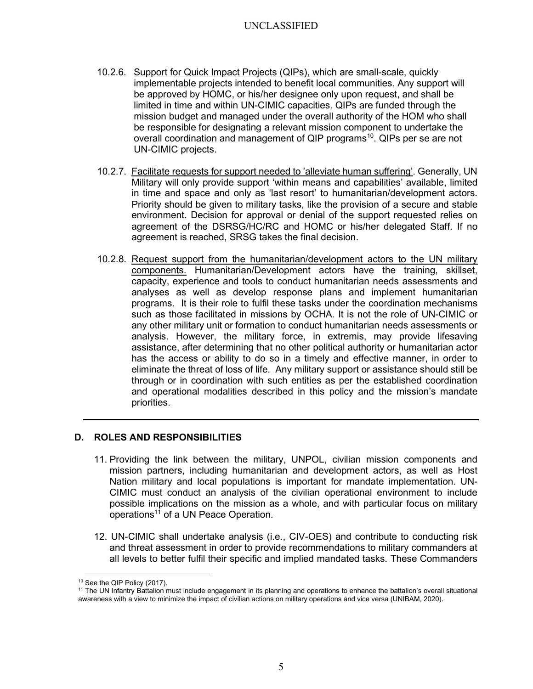- 10.2.6. Support for Quick Impact Projects (QIPs), which are small-scale, quickly implementable projects intended to benefit local communities. Any support will be approved by HOMC, or his/her designee only upon request, and shall be limited in time and within UN-CIMIC capacities. QIPs are funded through the mission budget and managed under the overall authority of the HOM who shall be responsible for designating a relevant mission component to undertake the overall coordination and management of QIP programs<sup>10</sup>. QIPs per se are not UN-CIMIC projects.
- 10.2.7. Facilitate requests for support needed to 'alleviate human suffering'. Generally, UN Military will only provide support 'within means and capabilities' available, limited in time and space and only as 'last resort' to humanitarian/development actors. Priority should be given to military tasks, like the provision of a secure and stable environment. Decision for approval or denial of the support requested relies on agreement of the DSRSG/HC/RC and HOMC or his/her delegated Staff. If no agreement is reached, SRSG takes the final decision.
- 10.2.8. Request support from the humanitarian/development actors to the UN military components. Humanitarian/Development actors have the training, skillset, capacity, experience and tools to conduct humanitarian needs assessments and analyses as well as develop response plans and implement humanitarian programs. It is their role to fulfil these tasks under the coordination mechanisms such as those facilitated in missions by OCHA. It is not the role of UN-CIMIC or any other military unit or formation to conduct humanitarian needs assessments or analysis. However, the military force, in extremis, may provide lifesaving assistance, after determining that no other political authority or humanitarian actor has the access or ability to do so in a timely and effective manner, in order to eliminate the threat of loss of life. Any military support or assistance should still be through or in coordination with such entities as per the established coordination and operational modalities described in this policy and the mission's mandate priorities.

## D. ROLES AND RESPONSIBILITIES

- 11. Providing the link between the military, UNPOL, civilian mission components and mission partners, including humanitarian and development actors, as well as Host Nation military and local populations is important for mandate implementation. UN-CIMIC must conduct an analysis of the civilian operational environment to include possible implications on the mission as a whole, and with particular focus on military operations<sup>11</sup> of a UN Peace Operation.
- 12. UN-CIMIC shall undertake analysis (i.e., CIV-OES) and contribute to conducting risk and threat assessment in order to provide recommendations to military commanders at all levels to better fulfil their specific and implied mandated tasks. These Commanders

<sup>10</sup> See the QIP Policy (2017).

<sup>&</sup>lt;sup>11</sup> The UN Infantry Battalion must include engagement in its planning and operations to enhance the battalion's overall situational awareness with a view to minimize the impact of civilian actions on military operations and vice versa (UNIBAM, 2020).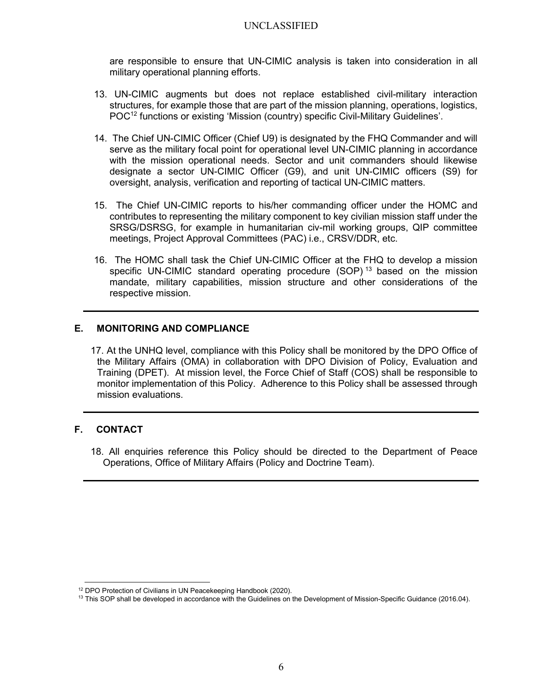are responsible to ensure that UN-CIMIC analysis is taken into consideration in all military operational planning efforts.

- 13. UN-CIMIC augments but does not replace established civil-military interaction structures, for example those that are part of the mission planning, operations, logistics, POC<sup>12</sup> functions or existing 'Mission (country) specific Civil-Military Guidelines'.
- 14. The Chief UN-CIMIC Officer (Chief U9) is designated by the FHQ Commander and will serve as the military focal point for operational level UN-CIMIC planning in accordance with the mission operational needs. Sector and unit commanders should likewise designate a sector UN-CIMIC Officer (G9), and unit UN-CIMIC officers (S9) for oversight, analysis, verification and reporting of tactical UN-CIMIC matters.
- 15. The Chief UN-CIMIC reports to his/her commanding officer under the HOMC and contributes to representing the military component to key civilian mission staff under the SRSG/DSRSG, for example in humanitarian civ-mil working groups, QIP committee meetings, Project Approval Committees (PAC) i.e., CRSV/DDR, etc.
- 16. The HOMC shall task the Chief UN-CIMIC Officer at the FHQ to develop a mission specific UN-CIMIC standard operating procedure  $(SOP)^{13}$  based on the mission mandate, military capabilities, mission structure and other considerations of the respective mission.

## E. MONITORING AND COMPLIANCE

17. At the UNHQ level, compliance with this Policy shall be monitored by the DPO Office of the Military Affairs (OMA) in collaboration with DPO Division of Policy, Evaluation and Training (DPET). At mission level, the Force Chief of Staff (COS) shall be responsible to monitor implementation of this Policy. Adherence to this Policy shall be assessed through mission evaluations.

# F. CONTACT

18. All enquiries reference this Policy should be directed to the Department of Peace Operations, Office of Military Affairs (Policy and Doctrine Team).

<sup>12</sup> DPO Protection of Civilians in UN Peacekeeping Handbook (2020).

<sup>&</sup>lt;sup>13</sup> This SOP shall be developed in accordance with the Guidelines on the Development of Mission-Specific Guidance (2016.04).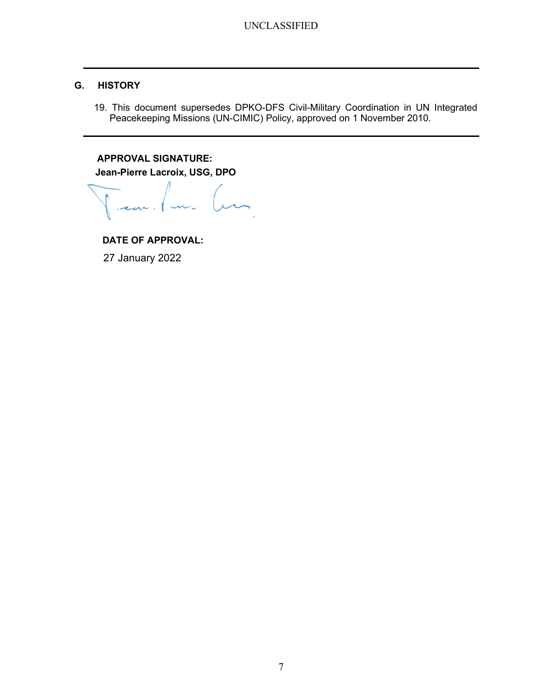# G. HISTORY

19. This document supersedes DPKO-DFS Civil-Military Coordination in UN Integrated Peacekeeping Missions (UN-CIMIC) Policy, approved on 1 November 2010.

APPROVAL SIGNATURE: Jean-Pierre Lacroix, USG, DPO

DATE OF APPROVAL:

27 January 2022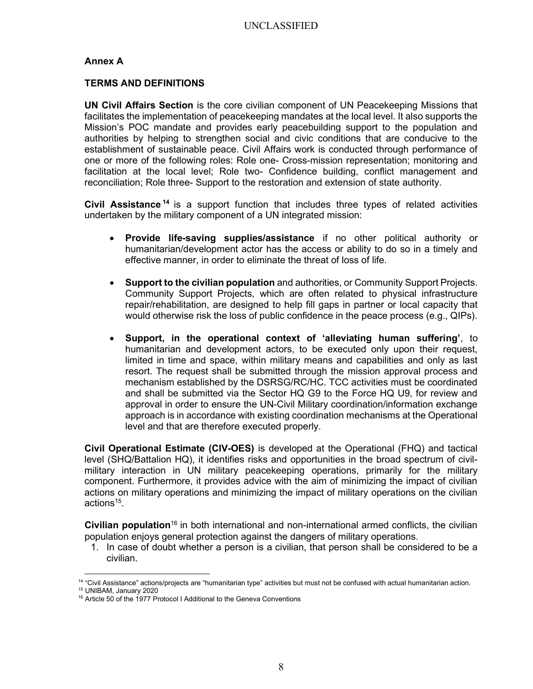## Annex A

#### TERMS AND DEFINITIONS

UN Civil Affairs Section is the core civilian component of UN Peacekeeping Missions that facilitates the implementation of peacekeeping mandates at the local level. It also supports the Mission's POC mandate and provides early peacebuilding support to the population and authorities by helping to strengthen social and civic conditions that are conducive to the establishment of sustainable peace. Civil Affairs work is conducted through performance of one or more of the following roles: Role one- Cross-mission representation; monitoring and facilitation at the local level; Role two- Confidence building, conflict management and reconciliation; Role three- Support to the restoration and extension of state authority.

Civil Assistance<sup>14</sup> is a support function that includes three types of related activities undertaken by the military component of a UN integrated mission:

- Provide life-saving supplies/assistance if no other political authority or humanitarian/development actor has the access or ability to do so in a timely and effective manner, in order to eliminate the threat of loss of life.
- Support to the civilian population and authorities, or Community Support Projects. Community Support Projects, which are often related to physical infrastructure repair/rehabilitation, are designed to help fill gaps in partner or local capacity that would otherwise risk the loss of public confidence in the peace process (e.g., QIPs).
- Support, in the operational context of 'alleviating human suffering', to humanitarian and development actors, to be executed only upon their request, limited in time and space, within military means and capabilities and only as last resort. The request shall be submitted through the mission approval process and mechanism established by the DSRSG/RC/HC. TCC activities must be coordinated and shall be submitted via the Sector HQ G9 to the Force HQ U9, for review and approval in order to ensure the UN-Civil Military coordination/information exchange approach is in accordance with existing coordination mechanisms at the Operational level and that are therefore executed properly.

Civil Operational Estimate (CIV-OES) is developed at the Operational (FHQ) and tactical level (SHQ/Battalion HQ), it identifies risks and opportunities in the broad spectrum of civilmilitary interaction in UN military peacekeeping operations, primarily for the military component. Furthermore, it provides advice with the aim of minimizing the impact of civilian actions on military operations and minimizing the impact of military operations on the civilian actions<sup>15</sup>.

**Civilian population**<sup>16</sup> in both international and non-international armed conflicts, the civilian population enjoys general protection against the dangers of military operations.

1. In case of doubt whether a person is a civilian, that person shall be considered to be a civilian.

<sup>14</sup> "Civil Assistance" actions/projects are "humanitarian type" activities but must not be confused with actual humanitarian action. <sup>15</sup> UNIBAM, January 2020

<sup>&</sup>lt;sup>16</sup> Article 50 of the 1977 Protocol I Additional to the Geneva Conventions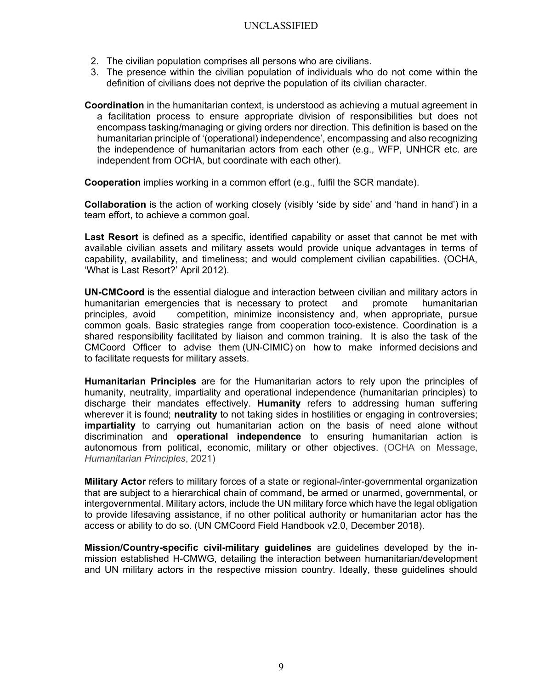- 2. The civilian population comprises all persons who are civilians.
- 3. The presence within the civilian population of individuals who do not come within the definition of civilians does not deprive the population of its civilian character.

Coordination in the humanitarian context, is understood as achieving a mutual agreement in a facilitation process to ensure appropriate division of responsibilities but does not encompass tasking/managing or giving orders nor direction. This definition is based on the humanitarian principle of '(operational) independence', encompassing and also recognizing the independence of humanitarian actors from each other (e.g., WFP, UNHCR etc. are independent from OCHA, but coordinate with each other).

Cooperation implies working in a common effort (e.g., fulfil the SCR mandate).

Collaboration is the action of working closely (visibly 'side by side' and 'hand in hand') in a team effort, to achieve a common goal.

Last Resort is defined as a specific, identified capability or asset that cannot be met with available civilian assets and military assets would provide unique advantages in terms of capability, availability, and timeliness; and would complement civilian capabilities. (OCHA, 'What is Last Resort?' April 2012).

UN-CMCoord is the essential dialogue and interaction between civilian and military actors in humanitarian emergencies that is necessary to protect and promote humanitarian principles, avoid competition, minimize inconsistency and, when appropriate, pursue common goals. Basic strategies range from cooperation toco-existence. Coordination is a shared responsibility facilitated by liaison and common training. It is also the task of the CMCoord Officer to advise them (UN-CIMIC) on how to make informed decisions and to facilitate requests for military assets.

Humanitarian Principles are for the Humanitarian actors to rely upon the principles of humanity, neutrality, impartiality and operational independence (humanitarian principles) to discharge their mandates effectively. Humanity refers to addressing human suffering wherever it is found; neutrality to not taking sides in hostilities or engaging in controversies; impartiality to carrying out humanitarian action on the basis of need alone without discrimination and operational independence to ensuring humanitarian action is autonomous from political, economic, military or other objectives. (OCHA on Message, Humanitarian Principles, 2021)

**Military Actor** refers to military forces of a state or regional-/inter-governmental organization that are subject to a hierarchical chain of command, be armed or unarmed, governmental, or intergovernmental. Military actors, include the UN military force which have the legal obligation to provide lifesaving assistance, if no other political authority or humanitarian actor has the access or ability to do so. (UN CMCoord Field Handbook v2.0, December 2018).

Mission/Country-specific civil-military guidelines are guidelines developed by the inmission established H-CMWG, detailing the interaction between humanitarian/development and UN military actors in the respective mission country. Ideally, these guidelines should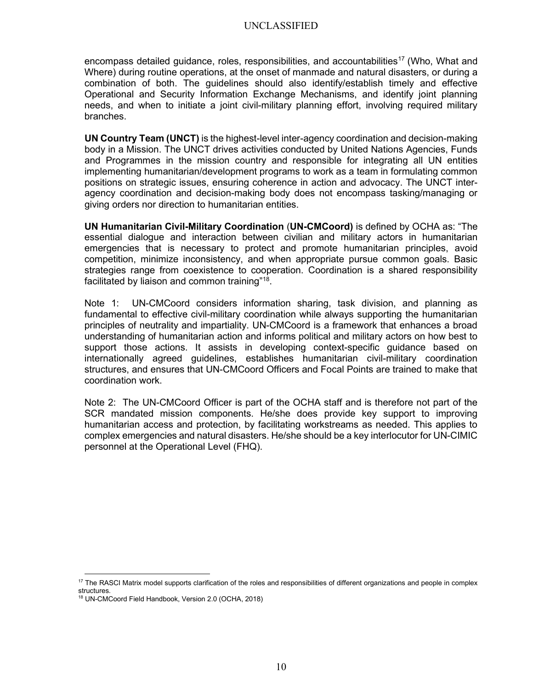encompass detailed guidance, roles, responsibilities, and accountabilities<sup>17</sup> (Who, What and Where) during routine operations, at the onset of manmade and natural disasters, or during a combination of both. The guidelines should also identify/establish timely and effective Operational and Security Information Exchange Mechanisms, and identify joint planning needs, and when to initiate a joint civil-military planning effort, involving required military branches.

UN Country Team (UNCT) is the highest-level inter-agency coordination and decision-making body in a Mission. The UNCT drives activities conducted by United Nations Agencies, Funds and Programmes in the mission country and responsible for integrating all UN entities implementing humanitarian/development programs to work as a team in formulating common positions on strategic issues, ensuring coherence in action and advocacy. The UNCT interagency coordination and decision-making body does not encompass tasking/managing or giving orders nor direction to humanitarian entities.

UN Humanitarian Civil-Military Coordination (UN-CMCoord) is defined by OCHA as: "The essential dialogue and interaction between civilian and military actors in humanitarian emergencies that is necessary to protect and promote humanitarian principles, avoid competition, minimize inconsistency, and when appropriate pursue common goals. Basic strategies range from coexistence to cooperation. Coordination is a shared responsibility facilitated by liaison and common training"<sup>18</sup>.

Note 1: UN-CMCoord considers information sharing, task division, and planning as fundamental to effective civil-military coordination while always supporting the humanitarian principles of neutrality and impartiality. UN-CMCoord is a framework that enhances a broad understanding of humanitarian action and informs political and military actors on how best to support those actions. It assists in developing context-specific guidance based on internationally agreed guidelines, establishes humanitarian civil-military coordination structures, and ensures that UN-CMCoord Officers and Focal Points are trained to make that coordination work.

Note 2: The UN-CMCoord Officer is part of the OCHA staff and is therefore not part of the SCR mandated mission components. He/she does provide key support to improving humanitarian access and protection, by facilitating workstreams as needed. This applies to complex emergencies and natural disasters. He/she should be a key interlocutor for UN-CIMIC personnel at the Operational Level (FHQ).

<sup>&</sup>lt;sup>17</sup> The RASCI Matrix model supports clarification of the roles and responsibilities of different organizations and people in complex structures.

<sup>18</sup> UN-CMCoord Field Handbook, Version 2.0 (OCHA, 2018)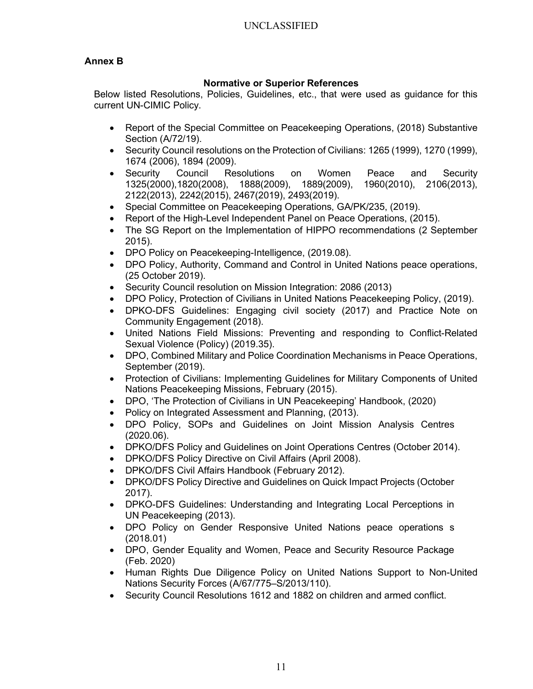# Annex B

# Normative or Superior References

 Below listed Resolutions, Policies, Guidelines, etc., that were used as guidance for this current UN-CIMIC Policy.

- Report of the Special Committee on Peacekeeping Operations, (2018) Substantive Section (A/72/19).
- Security Council resolutions on the Protection of Civilians: 1265 (1999), 1270 (1999), 1674 (2006), 1894 (2009).
- Security Council Resolutions on Women Peace and Security 1325(2000),1820(2008), 1888(2009), 1889(2009), 1960(2010), 2106(2013), 2122(2013), 2242(2015), 2467(2019), 2493(2019).
- Special Committee on Peacekeeping Operations, GA/PK/235, (2019).
- Report of the High-Level Independent Panel on Peace Operations, (2015).
- The SG Report on the Implementation of HIPPO recommendations (2 September 2015).
- DPO Policy on Peacekeeping-Intelligence, (2019.08).
- DPO Policy, Authority, Command and Control in United Nations peace operations, (25 October 2019).
- Security Council resolution on Mission Integration: 2086 (2013)
- DPO Policy, Protection of Civilians in United Nations Peacekeeping Policy, (2019).
- DPKO-DFS Guidelines: Engaging civil society (2017) and Practice Note on Community Engagement (2018).
- United Nations Field Missions: Preventing and responding to Conflict-Related Sexual Violence (Policy) (2019.35).
- DPO, Combined Military and Police Coordination Mechanisms in Peace Operations, September (2019).
- Protection of Civilians: Implementing Guidelines for Military Components of United Nations Peacekeeping Missions, February (2015).
- DPO, 'The Protection of Civilians in UN Peacekeeping' Handbook, (2020)
- Policy on Integrated Assessment and Planning, (2013).
- DPO Policy, SOPs and Guidelines on Joint Mission Analysis Centres (2020.06).
- DPKO/DFS Policy and Guidelines on Joint Operations Centres (October 2014).
- DPKO/DFS Policy Directive on Civil Affairs (April 2008).
- DPKO/DFS Civil Affairs Handbook (February 2012).
- DPKO/DFS Policy Directive and Guidelines on Quick Impact Projects (October 2017).
- DPKO-DFS Guidelines: Understanding and Integrating Local Perceptions in UN Peacekeeping (2013).
- DPO Policy on Gender Responsive United Nations peace operations s (2018.01)
- DPO, Gender Equality and Women, Peace and Security Resource Package (Feb. 2020)
- Human Rights Due Diligence Policy on United Nations Support to Non-United Nations Security Forces (A/67/775–S/2013/110).
- Security Council Resolutions 1612 and 1882 on children and armed conflict.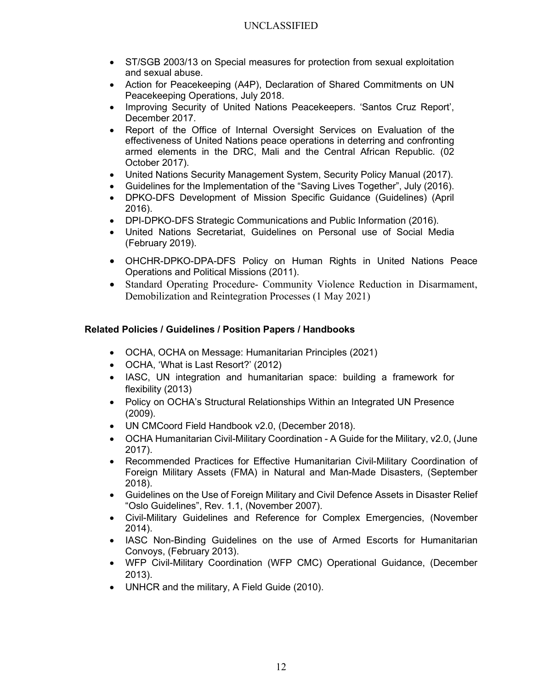- ST/SGB 2003/13 on Special measures for protection from sexual exploitation and sexual abuse.
- Action for Peacekeeping (A4P), Declaration of Shared Commitments on UN Peacekeeping Operations, July 2018.
- Improving Security of United Nations Peacekeepers. 'Santos Cruz Report', December 2017.
- Report of the Office of Internal Oversight Services on Evaluation of the effectiveness of United Nations peace operations in deterring and confronting armed elements in the DRC, Mali and the Central African Republic. (02 October 2017).
- United Nations Security Management System, Security Policy Manual (2017).
- Guidelines for the Implementation of the "Saving Lives Together", July (2016).
- DPKO-DFS Development of Mission Specific Guidance (Guidelines) (April 2016).
- DPI-DPKO-DFS Strategic Communications and Public Information (2016).
- United Nations Secretariat, Guidelines on Personal use of Social Media (February 2019).
- OHCHR-DPKO-DPA-DFS Policy on Human Rights in United Nations Peace Operations and Political Missions (2011).
- Standard Operating Procedure- Community Violence Reduction in Disarmament, Demobilization and Reintegration Processes (1 May 2021)

# Related Policies / Guidelines / Position Papers / Handbooks

- OCHA, OCHA on Message: Humanitarian Principles (2021)
- OCHA, 'What is Last Resort?' (2012)
- IASC, UN integration and humanitarian space: building a framework for flexibility (2013)
- Policy on OCHA's Structural Relationships Within an Integrated UN Presence (2009).
- UN CMCoord Field Handbook v2.0, (December 2018).
- OCHA Humanitarian Civil-Military Coordination A Guide for the Military, v2.0, (June 2017).
- Recommended Practices for Effective Humanitarian Civil-Military Coordination of Foreign Military Assets (FMA) in Natural and Man-Made Disasters, (September 2018).
- Guidelines on the Use of Foreign Military and Civil Defence Assets in Disaster Relief "Oslo Guidelines", Rev. 1.1, (November 2007).
- Civil-Military Guidelines and Reference for Complex Emergencies, (November 2014).
- IASC Non-Binding Guidelines on the use of Armed Escorts for Humanitarian Convoys, (February 2013).
- WFP Civil-Military Coordination (WFP CMC) Operational Guidance, (December 2013).
- UNHCR and the military, A Field Guide (2010).